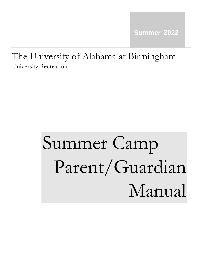# The University of Alabama at Birmingham University Recreation

# Summer Camp Parent/Guardian Manual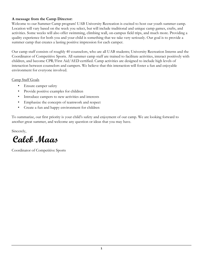# **A message from the Camp Director:**

Welcome to our Summer Camp program! UAB University Recreation is excited to host our youth summer camp. Location will vary based on the week you select, but will include traditional and unique camp games, crafts, and activities. Some weeks will also offer swimming, climbing wall, on-campus field trips, and much more. Providing a quality experience for both you and your child is something that we take very seriously. Our goal is to provide a summer camp that creates a lasting positive impression for each camper.

Our camp staff consists of roughly 40 counselors, who are all UAB students; University Recreation Interns and the Coordinator of Competitive Sports. All summer camp staff are trained to facilitate activities, interact positively with children, and become CPR/First Aid/AED certified. Camp activities are designed to include high levels of interaction between counselors and campers. We believe that this interaction will foster a fun and enjoyable environment for everyone involved.

# Camp Staff Goals

- Ensure camper safety
- Provide positive examples for children
- Introduce campers to new activities and interests
- Emphasize the concepts of teamwork and respect
- Create a fun and happy environment for children

To summarize, our first priority is your child's safety and enjoyment of our camp. We are looking forward to another great summer, and welcome any question or ideas that you may have.

Sincerely,

**Caleb Maas**

Coordinator of Competitive Sports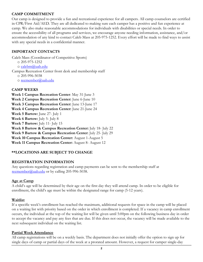#### **CAMP COMMITMENT**

Our camp is designed to provide a fun and recreational experience for all campers. All camp counselors are certified in CPR/First Aid/AED. They are all dedicated to making sure each camper has a positive and fun experience at camp. We also make reasonable accommodations for individuals with disabilities or special needs. In order to ensure the accessibility of all programs and services, we encourage anyone needing information, assistance, and/or accommodation of any kind to contact Caleb Mass at 205-975-1252. Every effort will be made to find ways to assist with any special needs in a confidential manner.

#### **IMPORTANT CONTACTS**

Caleb Mass (Coordinator of Competitive Sports)

o 205-975-1252

o calebm@uab.edu

Campus Recreation Center front desk and membership staff

o 205-996-5038

o recmember@uab.edu

#### **CAMP WEEKS**

**Week 1 Campus Recreation Center**: May 31-June 3 **Week 2 Campus Recreation Center:** June 6-June 10 **Week 3 Campus Recreation Center:** June 13-June 17 **Week 4 Campus Recreation Center:** June 21-June 24 **Week 5 Bartow:** June 27- July 1 **Week 6 Bartow:** July 5- July 8 **Week 7 Bartow:** July 11- July 15 **Week 8 Bartow & Campus Recreation Center:** July 18- July 22 **Week 9 Bartow & Campus Recreation Center**: July 25- July 29 **Week 10 Campus Recreation Center:** August 1-August 5 **Week 11 Campus Recreation Center:** August 8- August 12

# **\*\*LOCATIONS ARE SUBJECT TO CHANGE**

#### **REGISTRATION INFORMATION**

Any questions regarding registration and camp payments can be sent to the membership staff at recmember@uab.edu or by calling 205-996-5038.

#### **Age at Camp**

A child's age will be determined by their age on the first day they will attend camp. In order to be eligible for enrollment, the child's age must be within the designated range for camp (5-12 years).

#### **Waitlist**

If a specific week's enrollment has reached the maximum, additional requests for space in the camp will be placed on a waiting list with priority based on the order in which enrollment is completed. If a vacancy in camp enrollment occurs, the individual at the top of the waiting list will be given until 5:00pm on the following business day in order to accept the vacancy and pay any fees that are due. If this does not occur, the vacancy will be made available to the next subsequent individual on the waiting list.

#### **Partial Week Attendance**

All camp registrations will be on a weekly basis. The department does not initially offer the option to sign up for single days of camp or partial days of the week at a prorated amount. However, a request for camper single-day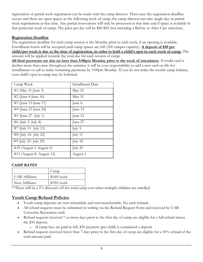registration or partial week registration can be made with the camp director. Then once the registration deadline occurs and there are open spaces in the following week of camp, the camp director can take single-day or partial week registrations at that time. Any partial reservations will only be processed at that time and if space is available in that particular week of camp. The price per day will be \$40-\$50 (not including a Before or After Care selection).

# **Registration Deadline**

The registration deadline for each camp session is the Monday prior to each week, if an opening is available. Enrollment forms will be accepted until camp spaces are full (100 camper capacity). **A deposit of \$50 per child/per week is due at the time of registration, in order to hold a child's spot in each week of camp.** The amount will be applied towards the total due for each session of camp.

**All final payments are due no later than 5:00pm Monday prior to the week of attendance**. If credit card is decline more than once throughout the summer, it will be your responsibility to add a new card on file for installments or call to make remaining payments by 5:00pm Monday. If you do not make the weekly camp balance, your child's spot in camp may be forfeited.

| Camp Week                    | <b>Installment Date</b> |
|------------------------------|-------------------------|
| #1 (May 31-June 3)           | May 23                  |
| #2 (June 6-June 10)          | May 31                  |
| #3 (June 13-June 17)         | June 6                  |
| #4 (June 21-June 24)         | June 13                 |
| #5 (June 27- July 1)         | June 21                 |
| $#6$ (July 5- July 8)        | June 27                 |
| $#7$ (July 11- July 15)      | July 5                  |
| $\#8$ (July 18- July 22)     | July 11                 |
| #9 (July 25- July 29)        | July 18                 |
| $\#10$ (August 1-August 5)   | July 25                 |
| $\#11$ (August 8- August 12) | August 1                |

#### **CAMP RATES**

|                       | Camp       |
|-----------------------|------------|
| <b>UAB</b> Affiliates | \$160/week |
| Non-Affiliates        | \$190/week |

\*\*There will be a 5% discount off the total camp cost when multiple children are enrolled.

# **Youth Camp Refund Policies**

- Youth camp deposits are non-refundable and non-transferrable. No cash refunds.
- All refund requests must be submitted in writing via the Refund Request Form and received by UAB University Recreation staff.
- Refund requests received 7 or more days prior to the first day of camp are eligible for a full refund minus the \$50 deposit.
	- o If camp fees are paid in full, \$50 payment (per child) is considered a deposit
- Refund requests received fewer than 7 days prior to the first day of camp are eligible for a 50% refund of the total amount paid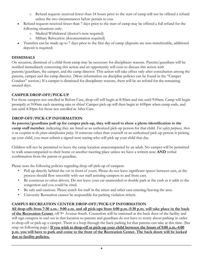- o Refund requests received fewer than 24 hours prior to the start of camp will not be offered a refund unless the two circumstances below pertain to you.
- Refund requests received fewer than 7 days prior to the start of camp may be offered a full refund for the following situations only:
	- o Medical Withdrawal (doctor's note required)
	- o Military Relocation (documentation required)
- Transfers can be made up to 7 days prior to the first day of camp (deposits are non-transferrable, additional deposit is required)

# **DISMISSALS**

On occasion, dismissal of a child from camp may be necessary for disciplinary reasons. Parents/guardians will be notified immediately concerning this action and an opportunity will exist to discuss this action with parents/guardians, the camper, and the camp director. This action will take effect only after consultation among the parents, camper and the camp director. (More information on discipline policies can be found in the "Camper Conduct" section.) If a camper is dismissed for disciplinary reasons, there will be no refund for the remaining unused days.

# **CAMPER DROP-OFF/PICK-UP**

For those campers not enrolled in Before Care, drop-off will begin at 8:30am and run until 9:00am. Camp will begin promptly at 9:00am each morning rain or shine! Camper pick-up will then begin at 4:00pm when camp ends, and run until 4:30pm for those not enrolled in After Care.

# **DROP-OFF/PICK-UP INFORMATION**

**As parents/guardians pull up for camper pick-up, they will need to show a photo identification to the camp staff member**, indicating they are listed as an authorized pick-up person for that child. *For safety purposes, there is no exception to the photo identification policy*. If someone other than yourself or an authorized pick-up person is picking up your child, you must submit a signed note stating who will pick up your child that day.

Children will not be permitted to leave the camp location unaccompanied by an adult. No camper will be permitted to walk unaccompanied to their home or another meeting place unless we have a written note **AND** verbal confirmation from the parent or guardian.

Please note the following policies regarding drop-off pick-up of campers:

- Pull up directly behind the car in front of yours. Please do not leave significant spaces between cars, as the process should flow smoothly with our staff assisting campers to and from cars.
- Be courteous to other drivers. Do not leave your car unattended or double park at the curb as it adds to the congestion and you could be cited.
- Be safe and cautious. Please watch for staff in the street and other cars entering/leaving the area.
- University Recreation cannot be responsible for parking violation tickets.

# **CAMPUS RECREATION CENTER DROP-OFF/PICK-UP INFORMATION**

**All drop-offs from 7:30 a.m.- 9:00 a.m. and all pick-ups from 4:00 p.m.-5:30 p.m. will take place in the back of the Recreation Center**, off 9<sup>th</sup> Avenue South. Counselors will be stationed at the back door of the facility and will sign campers in and out in that location so parents and guardians do not have to worry about parking in order to drop-off or pick-up a camper. There is a loop through the back parking lot that parents can take at this time. (See map on following page.) **If you wish to drop-off or pick-up your child between the hours of 9:00 a.m.-4:00 p.m. you will have to park and come to the front of the Recreation Center. The back doors will be locked due to facility policies.**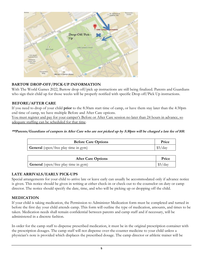

# **BARTOW DROP-OFF/PICK-UP INFORMATION**

With The World Games 2022, Bartow drop off/pick up instructions are still being finalized. Parents and Guardians who sign their child up for those weeks will be properly notified with specific Drop off/Pick Up instructions.

# **BEFORE/AFTER CARE**

If you need to drop of your child **prior** to the 8:30am start time of camp, or have them stay later than the 4:30pm end time of camp, we have multiple Before and After Care options.

You must register and pay for your camper's Before or After Care session no later than 24 hours in advance, so adequate staffing can be scheduled for that time.

**\*\*Parents/Guardians of campers in After Care who are not picked up by 5:30pm will be charged a late fee of \$10.** 

| <b>Before Care Options</b>                  | Price   |
|---------------------------------------------|---------|
| <b>General</b> (open/free play time in gym) | \$5/day |

| <b>After Care Options</b>                   | Price   |
|---------------------------------------------|---------|
| <b>General</b> (open/free play time in gym) | \$5/day |

#### **LATE ARRIVALS/EARLY PICK-UPS**

Special arrangements for your child to arrive late or leave early can usually be accommodated only if advance notice is given. This notice should be given in writing at either check-in or check-out to the counselor on duty or camp director. The notice should specify the date, time, and who will be picking up or dropping off the child.

#### **MEDICATION**

If your child is taking medication, the Permission to Administer Medication form must be completed and turned in before the first day your child attends camp. This form will outline the type of medication, amounts, and times to be taken. Medication needs shall remain confidential between parents and camp staff and if necessary, will be administered in a discrete fashion.

In order for the camp staff to dispense prescribed medication, it must be in the original prescription container with the prescription dosages. The camp staff will not dispense over-the-counter medicine to your child unless a physician's note is provided which displaces the prescribed dosage. The camp director or athletic trainer will be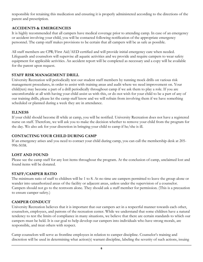responsible for retaining this medication and ensuring it is properly administered according to the directions of the parent and prescription.

# **ACCIDENTS & EMERGENCIES**

It is highly recommended that all campers have medical coverage prior to attending camp. In case of an emergency or accident involving your child, you will be contacted following notification of the appropriate emergency personnel. The camp staff makes provisions to be certain that all campers will be as safe as possible.

All staff members are CPR/First Aid/AED certified and will provide initial emergency care when needed. Lifeguards and counselors will supervise all aquatic activities and we provide and require campers to wear safety equipment for applicable activities. An accident report will be completed as necessary and a copy will be available for the parent upon request.

#### **STAFF RISK MANAGEMENT DRILL**

University Recreation will periodically test our student staff members by running mock drills on various risk management procedures, in order to assist with training areas and audit where we need improvement on. Your child(ren) may become a part of a drill periodically throughout camp if we ask them to play a role. If you are uncomfortable at all with having your child assist us with this, or do not wish for your child to be a part of any of our training drills, please let the camp staff know and we will refrain from involving them if we have something scheduled or planned during a week they are in attendance.

#### **ILLNESS**

If your child should become ill while at camp, you will be notified. University Recreation does not have a registered nurse on staff. Therefore, we will ask you to make the decision whether to remove your child from the program for the day. We also ask for your discretion in bringing your child to camp if he/she is ill.

# **CONTACTING YOUR CHILD DURING CAMP**

If an emergency arises and you need to contact your child during camp, you can call the membership desk at 205- 996-5038.

# **LOST AND FOUND**

Please see the camp staff for any lost items throughout the program. At the conclusion of camp, unclaimed lost and found items will be donated.

# **STAFF/CAMPER RATIO**

The minimum ratio of staff to children will be 1 to 8. At no time are campers permitted to leave the group alone or wander into unauthorized areas of the facility or adjacent areas, unless under the supervision of a counselor. Campers should not go to the restroom alone. They should ask a staff member for permission. (This is a precaution to ensure camper safety.)

# **CAMPER CONDUCT**

University Recreation believes that it is important that our campers act in a respectful manner towards each other, counselors, employees, and patrons of the recreation center. While we understand that some children have a natural tendency to test the limits of compliance in many situations, we believe that there are certain standards to which our campers must be held. It is our goal to help develop our campers into individuals who have strong morals, are responsible, and treat others with respect.

Camp counselors will serve as frontline employees in relation to camper discipline. Counselor's training and discretion will be used in determining what action(s) warrant discipline, labeling the severity of such actions, issuing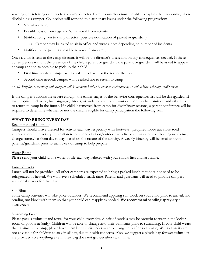warnings, or referring campers to the camp director. Camp counselors must be able to explain their reasoning when disciplining a camper. Counselors will respond to disciplinary issues under the following progression:

- Verbal warning
- Possible loss of privilege and/or removal from activity
- Notification given to camp director (possible notification of parent or guardian)

o Camper may be asked to sit in office and write a note depending on number of incidents

• Notification of parents (possible removal from camp)

Once a child is sent to the camp director, it will be the director's discretion on any consequences needed. If these consequences warrant the presence of the child's parent or guardian, the parent or guardian will be asked to appear at camp as soon as possible to pick up their child.

- First time needed: camper will be asked to leave for the rest of the day
- Second time needed: camper will be asked not to return to camp

#### *\*\*All disciplinary meetings with campers will be conducted either in an open environment, or with additional camp staff present.*

If the camper's actions are severe enough, the earlier stages of the behavior consequences list will be disregarded. If inappropriate behavior, bad language, threats, or violence are noted, your camper may be dismissed and asked not to return to camp in the future. If a child is removed from camp for disciplinary reasons, a parent conference will be required to determine whether or not the child is eligible for camp participation the following year.

#### **WHAT TO BRING EVERY DAY**

#### Recommended Clothing

Campers should arrive dressed for activity each day, especially with footwear. (Required footwear: close-toed athletic shoes.) University Recreation recommends indoor/outdoor athletic or activity clothes. Clothing needs may change somewhat from day to day, based on the nature of the activity. A weekly itinerary will be emailed out to parents/guardians prior to each week of camp to help prepare.

#### Water Bottle

Please send your child with a water bottle each day, labeled with your child's first and last name.

#### Lunch/Snacks

Lunch will not be provided. All other campers are expected to bring a packed lunch that does not need to be refrigerated or heated. We will have a scheduled snack time. Parents and guardians will need to provide campers additional snacks for that time.

#### Sun Block

Some camp activities will take place outdoors. We recommend applying sun block on your child prior to arrival, and sending sun block with them so that your child can reapply as needed. **We recommend sending spray-style sunscreen**.

#### Swimming Gear

Please pack a swimsuit and towel for your child every day. A pair of sandals may be brought to wear in the locker room or pool area (only). Children will be able to change into their swimsuits prior to swimming. If your child wears their swimsuit to camp, please have them bring their underwear to change into after swimming. Wet swimsuits are not advisable for children to stay in all day, due to health concerns. Also, we suggest a plastic bag for wet swimsuits are provided so everything else in their bag does not get wet after swim time.